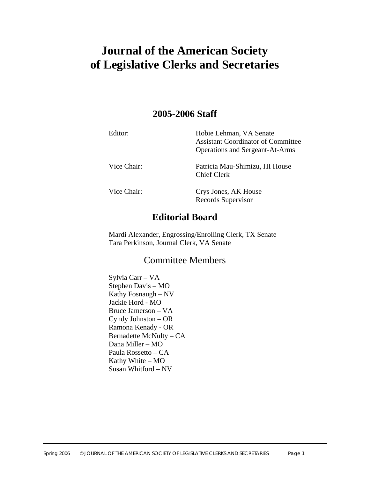# **Journal of the American Society of Legislative Clerks and Secretaries**

## **2005-2006 Staff**

| Editor:     | Hobie Lehman, VA Senate<br><b>Assistant Coordinator of Committee</b><br><b>Operations and Sergeant-At-Arms</b> |
|-------------|----------------------------------------------------------------------------------------------------------------|
| Vice Chair: | Patricia Mau-Shimizu, HI House<br><b>Chief Clerk</b>                                                           |
| Vice Chair: | Crys Jones, AK House<br>Records Supervisor                                                                     |

## **Editorial Board**

Mardi Alexander, Engrossing/Enrolling Clerk, TX Senate Tara Perkinson, Journal Clerk, VA Senate

## Committee Members

Sylvia Carr – VA Stephen Davis – MO Kathy Fosnaugh – NV Jackie Hord - MO Bruce Jamerson – VA Cyndy Johnston – OR Ramona Kenady - OR Bernadette McNulty – CA Dana Miller – MO Paula Rossetto – CA Kathy White – MO Susan Whitford – NV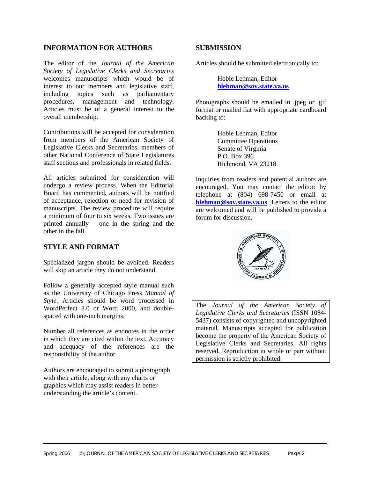#### **INFORMATION FOR AUTHORS**

The editor of the *Journal of the American Society of Legislative Clerks and Secretaries* welcomes manuscripts which would be of interest to our members and legislative staff, including topics such as parliamentary procedures, management and technology. Articles must be of a general interest to the overall membership.

Contributions will be accepted for consideration from members of the American Society of Legislative Clerks and Secretaries, members of other National Conference of State Legislatures staff sections and professionals in related fields.

All articles submitted for consideration will undergo a review process. When the Editorial Board has commented, authors will be notified of acceptance, rejection or need for revision of manuscripts. The review procedure will require a minimum of four to six weeks. Two issues are printed annually – one in the spring and the other in the fall.

#### **STYLE AND FORMAT**

Specialized jargon should be avoided. Readers will skip an article they do not understand.

Follow a generally accepted style manual such as the University of Chicago Press *Manual of Style*. Articles should be word processed in WordPerfect 8.0 or Word 2000, and doublespaced with one-inch margins.

Number all references as endnotes in the order in which they are cited within the text. Accuracy and adequacy of the references are the responsibility of the author.

Authors are encouraged to submit a photograph with their article, along with any charts or graphics which may assist readers in better understanding the article's content.

#### **SUBMISSION**

Articles should be submitted electronically to:

Hobie Lehman, Editor **[hlehman@sov.state.va.us](mailto:hlehman@sov.state.va.us)**

Photographs should be emailed in .jpeg or .gif format or mailed flat with appropriate cardboard backing to:

> Hobie Lehman, Editor Committee Operations Senate of Virginia P.O. Box 396 Richmond, VA 23218

Inquiries from readers and potential authors are encouraged. You may contact the editor: by telephone at (804) 698-7450 or email at **[hlehman@sov.state.va.us](mailto:hlehman@sov.state.va.us)**. Letters to the editor are welcomed and will be published to provide a forum for discussion.



The *Journal of the American Society of Legislative Clerks and Secretaries* (ISSN 1084- 5437) consists of copyrighted and uncopyrighted material. Manuscripts accepted for publication become the property of the American Society of Legislative Clerks and Secretaries. All rights reserved. Reproduction in whole or part without permission is strictly prohibited.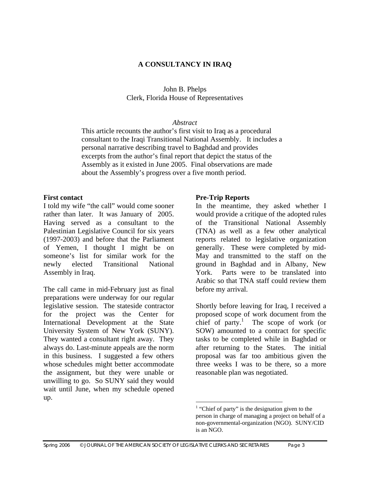## **A CONSULTANCY IN IRAQ**

## John B. Phelps Clerk, Florida House of Representatives

#### *Abstract*

This article recounts the author's first visit to Iraq as a procedural consultant to the Iraqi Transitional National Assembly. It includes a personal narrative describing travel to Baghdad and provides excerpts from the author's final report that depict the status of the Assembly as it existed in June 2005. Final observations are made about the Assembly's progress over a five month period.

#### **First contact**

I told my wife "the call" would come sooner rather than later. It was January of 2005. Having served as a consultant to the Palestinian Legislative Council for six years (1997-2003) and before that the Parliament of Yemen, I thought I might be on someone's list for similar work for the newly elected Transitional National Assembly in Iraq.

The call came in mid-February just as final preparations were underway for our regular legislative session. The stateside contractor for the project was the Center for International Development at the State University System of New York (SUNY). They wanted a consultant right away. They always do. Last-minute appeals are the norm in this business. I suggested a few others whose schedules might better accommodate the assignment, but they were unable or unwilling to go. So SUNY said they would wait until June, when my schedule opened up.

## **Pre-Trip Reports**

In the meantime, they asked whether I would provide a critique of the adopted rules of the Transitional National Assembly (TNA) as well as a few other analytical reports related to legislative organization generally. These were completed by mid-May and transmitted to the staff on the ground in Baghdad and in Albany, New York. Parts were to be translated into Arabic so that TNA staff could review them before my arrival.

Shortly before leaving for Iraq, I received a proposed scope of work document from the chief of party.<sup>[1](#page-2-0)</sup> The scope of work (or SOW) amounted to a contract for specific tasks to be completed while in Baghdad or after returning to the States. The initial proposal was far too ambitious given the three weeks I was to be there, so a more reasonable plan was negotiated.

<span id="page-2-0"></span><sup>&</sup>lt;sup>1</sup> "Chief of party" is the designation given to the person in charge of managing a project on behalf of a non-governmental-organization (NGO). SUNY/CID is an NGO.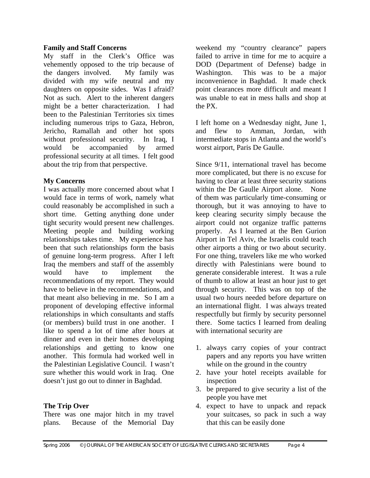#### **Family and Staff Concerns**

My staff in the Clerk's Office was vehemently opposed to the trip because of the dangers involved. My family was divided with my wife neutral and my daughters on opposite sides. Was I afraid? Not as such. Alert to the inherent dangers might be a better characterization. I had been to the Palestinian Territories six times including numerous trips to Gaza, Hebron, Jericho, Ramallah and other hot spots without professional security. In Iraq, I would be accompanied by armed professional security at all times. I felt good about the trip from that perspective.

## **My Concerns**

I was actually more concerned about what I would face in terms of work, namely what could reasonably be accomplished in such a short time. Getting anything done under tight security would present new challenges. Meeting people and building working relationships takes time. My experience has been that such relationships form the basis of genuine long-term progress. After I left Iraq the members and staff of the assembly would have to implement the recommendations of my report. They would have to believe in the recommendations, and that meant also believing in me. So I am a proponent of developing effective informal relationships in which consultants and staffs (or members) build trust in one another. I like to spend a lot of time after hours at dinner and even in their homes developing relationships and getting to know one another. This formula had worked well in the Palestinian Legislative Council. I wasn't sure whether this would work in Iraq. One doesn't just go out to dinner in Baghdad.

## **The Trip Over**

There was one major hitch in my travel plans. Because of the Memorial Day weekend my "country clearance" papers failed to arrive in time for me to acquire a DOD (Department of Defense) badge in Washington. This was to be a major inconvenience in Baghdad. It made check point clearances more difficult and meant I was unable to eat in mess halls and shop at the PX.

I left home on a Wednesday night, June 1, and flew to Amman, Jordan, with intermediate stops in Atlanta and the world's worst airport, Paris De Gaulle.

Since 9/11, international travel has become more complicated, but there is no excuse for having to clear at least three security stations within the De Gaulle Airport alone. None of them was particularly time-consuming or thorough, but it was annoying to have to keep clearing security simply because the airport could not organize traffic patterns properly. As I learned at the Ben Gurion Airport in Tel Aviv, the Israelis could teach other airports a thing or two about security. For one thing, travelers like me who worked directly with Palestinians were bound to generate considerable interest. It was a rule of thumb to allow at least an hour just to get through security. This was on top of the usual two hours needed before departure on an international flight. I was always treated respectfully but firmly by security personnel there. Some tactics I learned from dealing with international security are

- 1. always carry copies of your contract papers and any reports you have written while on the ground in the country
- 2. have your hotel receipts available for inspection
- 3. be prepared to give security a list of the people you have met
- 4. expect to have to unpack and repack your suitcases, so pack in such a way that this can be easily done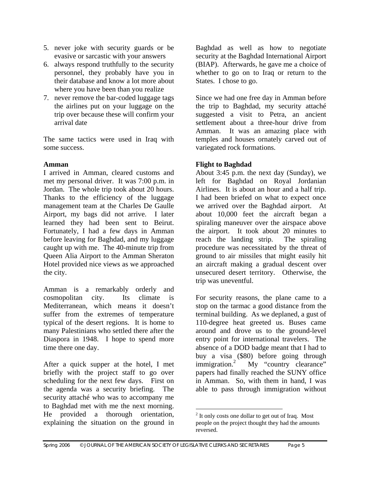- 5. never joke with security guards or be evasive or sarcastic with your answers
- 6. always respond truthfully to the security personnel, they probably have you in their database and know a lot more about where you have been than you realize
- 7. never remove the bar-coded luggage tags the airlines put on your luggage on the trip over because these will confirm your arrival date

The same tactics were used in Iraq with some success.

## **Amman**

I arrived in Amman, cleared customs and met my personal driver. It was 7:00 p.m. in Jordan. The whole trip took about 20 hours. Thanks to the efficiency of the luggage management team at the Charles De Gaulle Airport, my bags did not arrive. I later learned they had been sent to Beirut. Fortunately, I had a few days in Amman before leaving for Baghdad, and my luggage caught up with me. The 40-minute trip from Queen Alia Airport to the Amman Sheraton Hotel provided nice views as we approached the city.

Amman is a remarkably orderly and cosmopolitan city. Its climate is Mediterranean, which means it doesn't suffer from the extremes of temperature typical of the desert regions. It is home to many Palestinians who settled there after the Diaspora in 1948. I hope to spend more time there one day.

After a quick supper at the hotel, I met briefly with the project staff to go over scheduling for the next few days. First on the agenda was a security briefing. The security attaché who was to accompany me to Baghdad met with me the next morning. He provided a thorough orientation, explaining the situation on the ground in

Baghdad as well as how to negotiate security at the Baghdad International Airport (BIAP). Afterwards, he gave me a choice of whether to go on to Iraq or return to the States. I chose to go.

Since we had one free day in Amman before the trip to Baghdad, my security attaché suggested a visit to Petra, an ancient settlement about a three-hour drive from Amman. It was an amazing place with temples and houses ornately carved out of variegated rock formations.

## **Flight to Baghdad**

About 3:45 p.m. the next day (Sunday), we left for Baghdad on Royal Jordanian Airlines. It is about an hour and a half trip. I had been briefed on what to expect once we arrived over the Baghdad airport. At about 10,000 feet the aircraft began a spiraling maneuver over the airspace above the airport. It took about 20 minutes to reach the landing strip. The spiraling procedure was necessitated by the threat of ground to air missiles that might easily hit an aircraft making a gradual descent over unsecured desert territory. Otherwise, the trip was uneventful.

For security reasons, the plane came to a stop on the tarmac a good distance from the terminal building. As we deplaned, a gust of 110-degree heat greeted us. Buses came around and drove us to the ground-level entry point for international travelers. The absence of a DOD badge meant that I had to buy a visa (\$80) before going through immigration. $2$  My "country clearance" papers had finally reached the SUNY office in Amman. So, with them in hand, I was able to pass through immigration without

<span id="page-4-0"></span><sup>&</sup>lt;sup>2</sup> It only costs one dollar to get out of Iraq. Most people on the project thought they had the amounts reversed.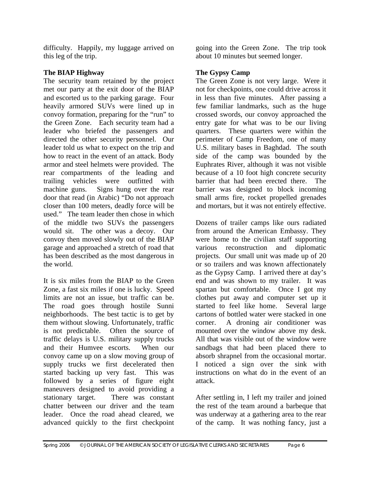difficulty. Happily, my luggage arrived on this leg of the trip.

## **The BIAP Highway**

The security team retained by the project met our party at the exit door of the BIAP and escorted us to the parking garage. Four heavily armored SUVs were lined up in convoy formation, preparing for the "run" to the Green Zone. Each security team had a leader who briefed the passengers and directed the other security personnel. Our leader told us what to expect on the trip and how to react in the event of an attack. Body armor and steel helmets were provided. The rear compartments of the leading and trailing vehicles were outfitted with machine guns. Signs hung over the rear door that read (in Arabic) "Do not approach closer than 100 meters, deadly force will be used." The team leader then chose in which of the middle two SUVs the passengers would sit. The other was a decoy. Our convoy then moved slowly out of the BIAP garage and approached a stretch of road that has been described as the most dangerous in the world.

It is six miles from the BIAP to the Green Zone, a fast six miles if one is lucky. Speed limits are not an issue, but traffic can be. The road goes through hostile Sunni neighborhoods. The best tactic is to get by them without slowing. Unfortunately, traffic is not predictable. Often the source of traffic delays is U.S. military supply trucks and their Humvee escorts. When our convoy came up on a slow moving group of supply trucks we first decelerated then started backing up very fast. This was followed by a series of figure eight maneuvers designed to avoid providing a stationary target. There was constant chatter between our driver and the team leader. Once the road ahead cleared, we advanced quickly to the first checkpoint

going into the Green Zone. The trip took about 10 minutes but seemed longer.

## **The Gypsy Camp**

The Green Zone is not very large. Were it not for checkpoints, one could drive across it in less than five minutes. After passing a few familiar landmarks, such as the huge crossed swords, our convoy approached the entry gate for what was to be our living quarters. These quarters were within the perimeter of Camp Freedom, one of many U.S. military bases in Baghdad. The south side of the camp was bounded by the Euphrates River, although it was not visible because of a 10 foot high concrete security barrier that had been erected there. The barrier was designed to block incoming small arms fire, rocket propelled grenades and mortars, but it was not entirely effective.

Dozens of trailer camps like ours radiated from around the American Embassy. They were home to the civilian staff supporting various reconstruction and diplomatic projects. Our small unit was made up of 20 or so trailers and was known affectionately as the Gypsy Camp. I arrived there at day's end and was shown to my trailer. It was spartan but comfortable. Once I got my clothes put away and computer set up it started to feel like home. Several large cartons of bottled water were stacked in one corner. A droning air conditioner was mounted over the window above my desk. All that was visible out of the window were sandbags that had been placed there to absorb shrapnel from the occasional mortar. I noticed a sign over the sink with instructions on what do in the event of an attack.

After settling in, I left my trailer and joined the rest of the team around a barbeque that was underway at a gathering area to the rear of the camp. It was nothing fancy, just a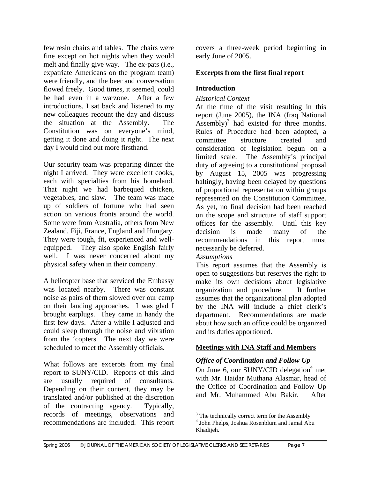few resin chairs and tables. The chairs were fine except on hot nights when they would melt and finally give way. The ex-pats (i.e., expatriate Americans on the program team) were friendly, and the beer and conversation flowed freely. Good times, it seemed, could be had even in a warzone. After a few introductions, I sat back and listened to my new colleagues recount the day and discuss the situation at the Assembly. The Constitution was on everyone's mind, getting it done and doing it right. The next day I would find out more firsthand.

Our security team was preparing dinner the night I arrived. They were excellent cooks, each with specialties from his homeland. That night we had barbequed chicken, vegetables, and slaw. The team was made up of soldiers of fortune who had seen action on various fronts around the world. Some were from Australia, others from New Zealand, Fiji, France, England and Hungary. They were tough, fit, experienced and wellequipped. They also spoke English fairly well. I was never concerned about my physical safety when in their company.

A helicopter base that serviced the Embassy was located nearby. There was constant noise as pairs of them slowed over our camp on their landing approaches. I was glad I brought earplugs. They came in handy the first few days. After a while I adjusted and could sleep through the noise and vibration from the 'copters. The next day we were scheduled to meet the Assembly officials.

What follows are excerpts from my final report to SUNY/CID. Reports of this kind are usually required of consultants. Depending on their content, they may be translated and/or published at the discretion of the contracting agency. Typically, records of meetings, observations and recommendations are included. This report

covers a three-week period beginning in early June of 2005.

## **Excerpts from the first final report**

## **Introduction**

## *Historical Context*

At the time of the visit resulting in this report (June 2005), the INA (Iraq National  $\text{Assembly}$ <sup>[3](#page-6-0)</sup> had existed for three months. Rules of Procedure had been adopted, a committee structure created and consideration of legislation begun on a limited scale. The Assembly's principal duty of agreeing to a constitutional proposal by August 15, 2005 was progressing haltingly, having been delayed by questions of proportional representation within groups represented on the Constitution Committee. As yet, no final decision had been reached on the scope and structure of staff support offices for the assembly. Until this key decision is made many of the recommendations in this report must necessarily be deferred.

#### *Assumptions*

This report assumes that the Assembly is open to suggestions but reserves the right to make its own decisions about legislative organization and procedure. It further assumes that the organizational plan adopted by the INA will include a chief clerk's department. Recommendations are made about how such an office could be organized and its duties apportioned.

## **Meetings with INA Staff and Members**

## *Office of Coordination and Follow Up*

On June 6, our SUNY/CID delegation<sup>[4](#page-6-1)</sup> met with Mr. Haidar Muthana Alasmar, head of the Office of Coordination and Follow Up and Mr. Muhammed Abu Bakir. After

<span id="page-6-0"></span><sup>&</sup>lt;sup>3</sup><br><sup>3</sup> The technically correct term for the Assembly<br><sup>4</sup> John Phalas, Joshua Bosenblum and Jamal Ab

<span id="page-6-1"></span><sup>&</sup>lt;sup>4</sup> John Phelps, Joshua Rosenblum and Jamal Abu Khadijeh.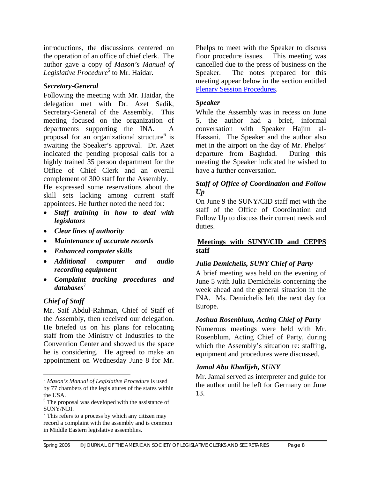introductions, the discussions centered on the operation of an office of chief clerk. The author gave a copy of *Mason's Manual of Legislative Procedure*[5](#page-7-0) to Mr. Haidar.

## *Secretary-General*

Following the meeting with Mr. Haidar, the delegation met with Dr. Azet Sadik, Secretary-General of the Assembly. This meeting focused on the organization of departments supporting the INA. A proposal for an organizational structure $6$  is awaiting the Speaker's approval. Dr. Azet indicated the pending proposal calls for a highly trained 35 person department for the Office of Chief Clerk and an overall complement of 300 staff for the Assembly.

He expressed some reservations about the skill sets lacking among current staff appointees. He further noted the need for:

- *Staff training in how to deal with legislators*
- *Clear lines of authority*
- *Maintenance of accurate records*
- *Enhanced computer skills*
- *Additional computer and audio recording equipment*
- *Complaint tracking procedures and*  databases<sup>[7](#page-7-2)</sup>

## *Chief of Staff*

<u>.</u>

Mr. Saif Abdul-Rahman, Chief of Staff of the Assembly, then received our delegation. He briefed us on his plans for relocating staff from the Ministry of Industries to the Convention Center and showed us the space he is considering. He agreed to make an appointment on Wednesday June 8 for Mr.

Phelps to meet with the Speaker to discuss floor procedure issues. This meeting was cancelled due to the press of business on the Speaker. The notes prepared for this meeting appear below in the section entitled [Plenary Session Procedures.](#page-9-0)

## *Speaker*

While the Assembly was in recess on June 5, the author had a brief, informal conversation with Speaker Hajim al-Hassani. The Speaker and the author also met in the airport on the day of Mr. Phelps' departure from Baghdad. During this meeting the Speaker indicated he wished to have a further conversation.

## *Staff of Office of Coordination and Follow Up*

On June 9 the SUNY/CID staff met with the staff of the Office of Coordination and Follow Up to discuss their current needs and duties.

## **Meetings with SUNY/CID and CEPPS staff**

## *Julia Demichelis, SUNY Chief of Party*

A brief meeting was held on the evening of June 5 with Julia Demichelis concerning the week ahead and the general situation in the INA. Ms. Demichelis left the next day for Europe.

## *Joshua Rosenblum, Acting Chief of Party*

Numerous meetings were held with Mr. Rosenblum, Acting Chief of Party, during which the Assembly's situation re: staffing, equipment and procedures were discussed.

## *Jamal Abu Khadijeh, SUNY*

Mr. Jamal served as interpreter and guide for the author until he left for Germany on June 13.

<span id="page-7-0"></span><sup>5</sup> *Mason's Manual of Legislative Procedure* is used by 77 chambers of the legislatures of the states within the USA.

<span id="page-7-1"></span> $6$  The proposal was developed with the assistance of SUNY/NDI.

<span id="page-7-2"></span> $\frac{7}{7}$  This refers to a process by which any citizen may record a complaint with the assembly and is common in Middle Eastern legislative assemblies.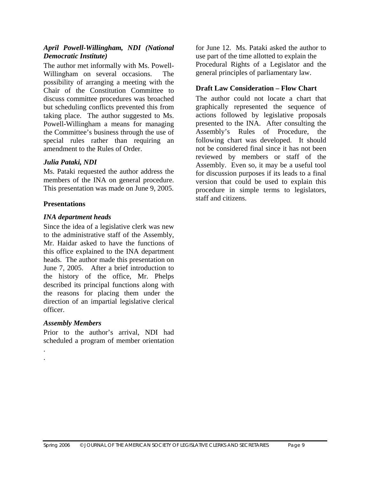### *April Powell-Willingham, NDI (National Democratic Institute)*

The author met informally with Ms. Powell-Willingham on several occasions. The possibility of arranging a meeting with the Chair of the Constitution Committee to discuss committee procedures was broached but scheduling conflicts prevented this from taking place. The author suggested to Ms. Powell-Willingham a means for managing the Committee's business through the use of special rules rather than requiring an amendment to the Rules of Order.

## *Julia Pataki, NDI*

Ms. Pataki requested the author address the members of the INA on general procedure. This presentation was made on June 9, 2005.

## **Presentations**

## *INA department heads*

Since the idea of a legislative clerk was new to the administrative staff of the Assembly, Mr. Haidar asked to have the functions of this office explained to the INA department heads. The author made this presentation on June 7, 2005. After a brief introduction to the history of the office, Mr. Phelps described its principal functions along with the reasons for placing them under the direction of an impartial legislative clerical officer.

## *Assembly Members*

. .

Prior to the author's arrival, NDI had scheduled a program of member orientation

for June 12. Ms. Pataki asked the author to use part of the time allotted to explain the Procedural Rights of a Legislator and the general principles of parliamentary law.

## **Draft Law Consideration – Flow Chart**

The author could not locate a chart that graphically represented the sequence of actions followed by legislative proposals presented to the INA. After consulting the Assembly's Rules of Procedure, the following chart was developed. It should not be considered final since it has not been reviewed by members or staff of the Assembly. Even so, it may be a useful tool for discussion purposes if its leads to a final version that could be used to explain this procedure in simple terms to legislators, staff and citizens.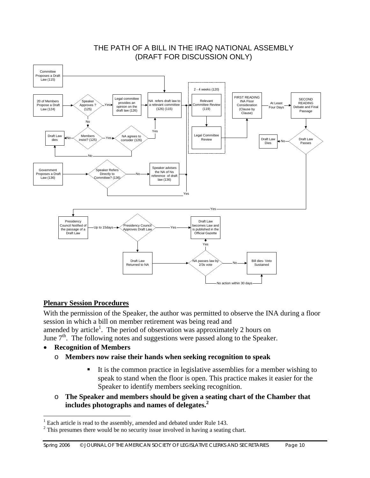<span id="page-9-0"></span>

## THE PATH OF A BILL IN THE IRAQ NATIONAL ASSEMBLY (DRAFT FOR DISCUSSION ONLY)

## **Plenary Session Procedures**

With the permission of the Speaker, the author was permitted to observe the INA during a floor session in which a bill on member retirement was being read and amended by article<sup>1</sup>. The period of observation was approximately 2 hours on

June 7<sup>th</sup>. The following notes and suggestions were passed along to the Speaker.

• **Recognition of Members** 

<u>.</u>

- o **Members now raise their hands when seeking recognition to speak** 
	- It is the common practice in legislative assemblies for a member wishing to speak to stand when the floor is open. This practice makes it easier for the Speaker to identify members seeking recognition.
- o **The Speaker and members should be given a seating chart of the Chamber that includes photographs and names of delegates[.2](#page-9-2)**

<span id="page-9-1"></span><sup>&</sup>lt;sup>1</sup> Each article is read to the assembly, amended and debated under Rule 143.

<span id="page-9-2"></span> $2$  This presumes there would be no security issue involved in having a seating chart.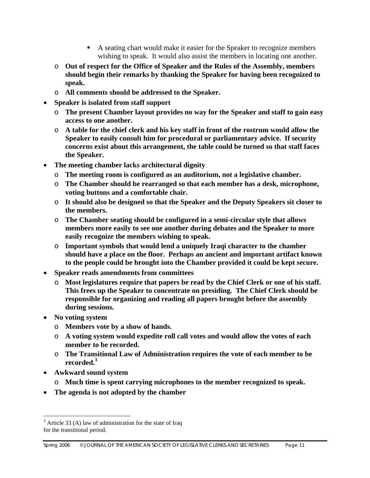- A seating chart would make it easier for the Speaker to recognize members wishing to speak. It would also assist the members in locating one another.
- o **Out of respect for the Office of Speaker and the Rules of the Assembly, members should begin their remarks by thanking the Speaker for having been recognized to speak.**
- o **All comments should be addressed to the Speaker.**
- **Speaker is isolated from staff support** 
	- o **The present Chamber layout provides no way for the Speaker and staff to gain easy access to one another.**
	- o **A table for the chief clerk and his key staff in front of the rostrum would allow the Speaker to easily consult him for procedural or parliamentary advice. If security concerns exist about this arrangement, the table could be turned so that staff faces the Speaker.**
- **The meeting chamber lacks architectural dignity** 
	- o **The meeting room is configured as an auditorium, not a legislative chamber.**
	- o **The Chamber should be rearranged so that each member has a desk, microphone, voting buttons and a comfortable chair.**
	- o **It should also be designed so that the Speaker and the Deputy Speakers sit closer to the members.**
	- o **The Chamber seating should be configured in a semi-circular style that allows members more easily to see one another during debates and the Speaker to more easily recognize the members wishing to speak.**
	- o **Important symbols that would lend a uniquely Iraqi character to the chamber should have a place on the floor. Perhaps an ancient and important artifact known to the people could be brought into the Chamber provided it could be kept secure.**
- **Speaker reads amendments from committees** 
	- o **Most legislatures require that papers be read by the Chief Clerk or one of his staff. This frees up the Speaker to concentrate on presiding. The Chief Clerk should be responsible for organizing and reading all papers brought before the assembly during sessions.**
- **No voting system** 
	- o **Members vote by a show of hands.**
	- o **A voting system would expedite roll call votes and would allow the votes of each member to be recorded.**
	- o **The Transitional Law of Administration requires the vote of each member to be recorded[.3](#page-10-0)**
- **Awkward sound system**

 $\overline{a}$ 

- o **Much time is spent carrying microphones to the member recognized to speak.**
- **The agenda is not adopted by the chamber**

<span id="page-10-0"></span> $3$  Article 33 (A) law of administration for the state of Iraq for the transitional period.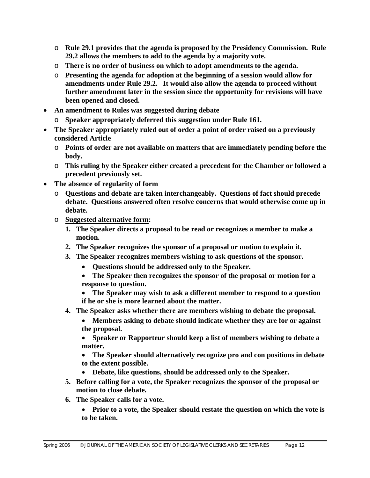- o **Rule 29.1 provides that the agenda is proposed by the Presidency Commission. Rule 29.2 allows the members to add to the agenda by a majority vote.**
- o **There is no order of business on which to adopt amendments to the agenda.**
- o **Presenting the agenda for adoption at the beginning of a session would allow for amendments under Rule 29.2. It would also allow the agenda to proceed without further amendment later in the session since the opportunity for revisions will have been opened and closed.**
- **An amendment to Rules was suggested during debate** 
	- o **Speaker appropriately deferred this suggestion under Rule 161.**
- **The Speaker appropriately ruled out of order a point of order raised on a previously considered Article** 
	- o **Points of order are not available on matters that are immediately pending before the body.**
	- o **This ruling by the Speaker either created a precedent for the Chamber or followed a precedent previously set.**
- **The absence of regularity of form** 
	- o **Questions and debate are taken interchangeably. Questions of fact should precede debate. Questions answered often resolve concerns that would otherwise come up in debate.**
	- o **Suggested alternative form:** 
		- **1. The Speaker directs a proposal to be read or recognizes a member to make a motion.**
		- **2. The Speaker recognizes the sponsor of a proposal or motion to explain it.**
		- **3. The Speaker recognizes members wishing to ask questions of the sponsor.** 
			- **Questions should be addressed only to the Speaker.**
			- **The Speaker then recognizes the sponsor of the proposal or motion for a response to question.**
			- **The Speaker may wish to ask a different member to respond to a question if he or she is more learned about the matter.**
		- **4. The Speaker asks whether there are members wishing to debate the proposal.** 
			- **Members asking to debate should indicate whether they are for or against the proposal.**

• **Speaker or Rapporteur should keep a list of members wishing to debate a matter.** 

- **The Speaker should alternatively recognize pro and con positions in debate to the extent possible.**
- **Debate, like questions, should be addressed only to the Speaker.**
- **5. Before calling for a vote, the Speaker recognizes the sponsor of the proposal or motion to close debate.**
- **6. The Speaker calls for a vote.** 
	- **Prior to a vote, the Speaker should restate the question on which the vote is to be taken.**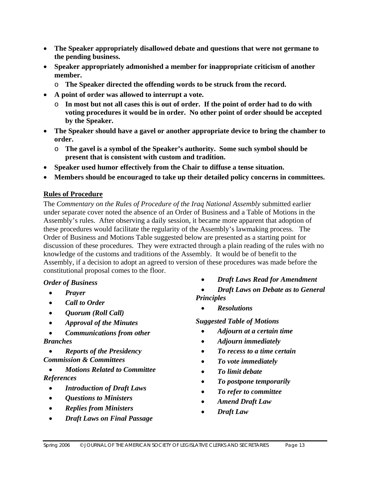- **The Speaker appropriately disallowed debate and questions that were not germane to the pending business.**
- **Speaker appropriately admonished a member for inappropriate criticism of another member.** 
	- o **The Speaker directed the offending words to be struck from the record.**
- **A point of order was allowed to interrupt a vote.** 
	- o **In most but not all cases this is out of order. If the point of order had to do with voting procedures it would be in order. No other point of order should be accepted by the Speaker.**
- **The Speaker should have a gavel or another appropriate device to bring the chamber to order.** 
	- o **The gavel is a symbol of the Speaker's authority. Some such symbol should be present that is consistent with custom and tradition.**
- **Speaker used humor effectively from the Chair to diffuse a tense situation.**
- **Members should be encouraged to take up their detailed policy concerns in committees.**

## **Rules of Procedure**

The *Commentary on the Rules of Procedure of the Iraq National Assembly* submitted earlier under separate cover noted the absence of an Order of Business and a Table of Motions in the Assembly's rules. After observing a daily session, it became more apparent that adoption of these procedures would facilitate the regularity of the Assembly's lawmaking process. The Order of Business and Motions Table suggested below are presented as a starting point for discussion of these procedures. They were extracted through a plain reading of the rules with no knowledge of the customs and traditions of the Assembly. It would be of benefit to the Assembly, if a decision to adopt an agreed to version of these procedures was made before the constitutional proposal comes to the floor.

## *Order of Business*

- *Prayer*
- *Call to Order*
- *Quorum (Roll Call)*
- *Approval of the Minutes*
- *Communications from other Branches*
- *Reports of the Presidency Commission & Committees*
- *Motions Related to Committee References* 
	- *Introduction of Draft Laws*
	- *Questions to Ministers*
	- *Replies from Ministers*
	- *Draft Laws on Final Passage*
- *Draft Laws Read for Amendment*
- *Draft Laws on Debate as to General Principles* 
	- *Resolutions*

*Suggested Table of Motions* 

- *Adjourn at a certain time*
- *Adjourn immediately*
- *To recess to a time certain*
- *To vote immediately*
- *To limit debate*
- *To postpone temporarily*
- *To refer to committee*
- *Amend Draft Law*
- *Draft Law*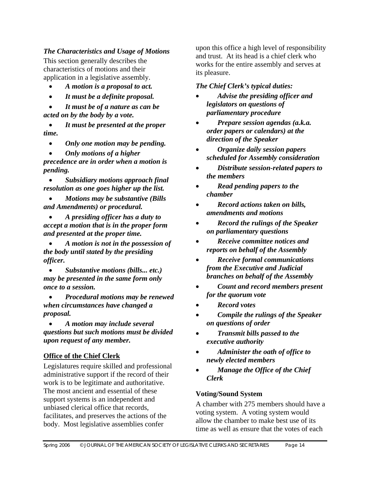*The Characteristics and Usage of Motions* 

This section generally describes the characteristics of motions and their application in a legislative assembly.

- *A motion is a proposal to act.*
- *It must be a definite proposal.*

• *It must be of a nature as can be acted on by the body by a vote.* 

• *It must be presented at the proper time.* 

- *Only one motion may be pending.*
- *Only motions of a higher*

*precedence are in order when a motion is pending.* 

• *Subsidiary motions approach final resolution as one goes higher up the list.* 

• *Motions may be substantive (Bills and Amendments) or procedural.* 

• *A presiding officer has a duty to accept a motion that is in the proper form and presented at the proper time.* 

• *A motion is not in the possession of the body until stated by the presiding officer.* 

• *Substantive motions (bills... etc.) may be presented in the same form only once to a session.* 

• *Procedural motions may be renewed when circumstances have changed a proposal.* 

• *A motion may include several questions but such motions must be divided upon request of any member.* 

## **Office of the Chief Clerk**

Legislatures require skilled and professional administrative support if the record of their work is to be legitimate and authoritative. The most ancient and essential of these support systems is an independent and unbiased clerical office that records, facilitates, and preserves the actions of the body. Most legislative assemblies confer

upon this office a high level of responsibility and trust. At its head is a chief clerk who works for the entire assembly and serves at its pleasure.

### *The Chief Clerk's typical duties:*

- *Advise the presiding officer and legislators on questions of parliamentary procedure*
- *Prepare session agendas (a.k.a. order papers or calendars) at the direction of the Speaker*
- *Organize daily session papers scheduled for Assembly consideration*
- *Distribute session-related papers to the members*
- *Read pending papers to the chamber*
- *Record actions taken on bills, amendments and motions*
- *Record the rulings of the Speaker on parliamentary questions*
- *Receive committee notices and reports on behalf of the Assembly*
- *Receive formal communications from the Executive and Judicial branches on behalf of the Assembly*
- *Count and record members present for the quorum vote*
- *Record votes*
- *Compile the rulings of the Speaker on questions of order*
- *Transmit bills passed to the executive authority*
- *Administer the oath of office to newly elected members*
- *Manage the Office of the Chief Clerk*

## **Voting/Sound System**

A chamber with 275 members should have a voting system. A voting system would allow the chamber to make best use of its time as well as ensure that the votes of each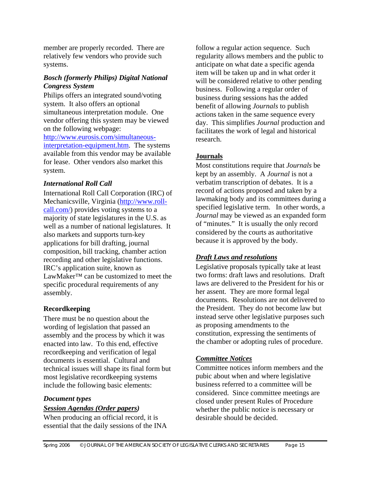member are properly recorded. There are relatively few vendors who provide such systems.

#### *Bosch (formerly Philips) Digital National Congress System*

Philips offers an integrated sound/voting system. It also offers an optional simultaneous interpretation module. One vendor offering this system may be viewed on the following webpage: [http://www.eurosis.com/simultaneous](http://www.eurosis.com/simultaneous-interpretation-equipment.htm)[interpretation-equipment.htm.](http://www.eurosis.com/simultaneous-interpretation-equipment.htm) The systems available from this vendor may be available for lease. Other vendors also market this system.

## *International Roll Call*

International Roll Call Corporation (IRC) of Mechanicsville, Virginia [\(http://www.roll](http://www.roll-call.com/)[call.com/](http://www.roll-call.com/)) provides voting systems to a majority of state legislatures in the U.S. as well as a number of national legislatures. It also markets and supports turn-key applications for bill drafting, journal composition, bill tracking, chamber action recording and other legislative functions. IRC's application suite, known as LawMaker™ can be customized to meet the specific procedural requirements of any assembly.

## **Recordkeeping**

There must be no question about the wording of legislation that passed an assembly and the process by which it was enacted into law. To this end, effective recordkeeping and verification of legal documents is essential. Cultural and technical issues will shape its final form but most legislative recordkeeping systems include the following basic elements:

## *Document types*

## *Session Agendas (Order papers)*

When producing an official record, it is essential that the daily sessions of the INA

follow a regular action sequence. Such regularity allows members and the public to anticipate on what date a specific agenda item will be taken up and in what order it will be considered relative to other pending business. Following a regular order of business during sessions has the added benefit of allowing *Journals* to publish actions taken in the same sequence every day. This simplifies *Journal* production and facilitates the work of legal and historical research.

## **Journals**

Most constitutions require that *Journals* be kept by an assembly. A *Journal* is not a verbatim transcription of debates. It is a record of actions proposed and taken by a lawmaking body and its committees during a specified legislative term. In other words, a *Journal* may be viewed as an expanded form of "minutes." It is usually the only record considered by the courts as authoritative because it is approved by the body.

## *Draft Laws and resolutions*

Legislative proposals typically take at least two forms: draft laws and resolutions. Draft laws are delivered to the President for his or her assent. They are more formal legal documents. Resolutions are not delivered to the President. They do not become law but instead serve other legislative purposes such as proposing amendments to the constitution, expressing the sentiments of the chamber or adopting rules of procedure.

## *Committee Notices*

Committee notices inform members and the pubic about when and where legislative business referred to a committee will be considered. Since committee meetings are closed under present Rules of Procedure whether the public notice is necessary or desirable should be decided.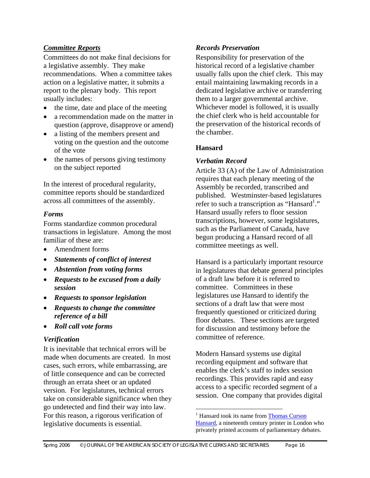## *Committee Reports*

Committees do not make final decisions for a legislative assembly. They make recommendations. When a committee takes action on a legislative matter, it submits a report to the plenary body. This report usually includes:

- the time, date and place of the meeting
- a recommendation made on the matter in question (approve, disapprove or amend)
- a listing of the members present and voting on the question and the outcome of the vote
- the names of persons giving testimony on the subject reported

In the interest of procedural regularity, committee reports should be standardized across all committees of the assembly.

## *Forms*

Forms standardize common procedural transactions in legislature. Among the most familiar of these are:

- Amendment forms
- *Statements of conflict of interest*
- *Abstention from voting forms*
- *Requests to be excused from a daily session*
- *Requests to sponsor legislation*
- *Requests to change the committee reference of a bill*
- *Roll call vote forms*

## *Verification*

It is inevitable that technical errors will be made when documents are created. In most cases, such errors, while embarrassing, are of little consequence and can be corrected through an errata sheet or an updated version. For legislatures, technical errors take on considerable significance when they go undetected and find their way into law. For this reason, a rigorous verification of legislative documents is essential.

## *Records Preservation*

Responsibility for preservation of the historical record of a legislative chamber usually falls upon the chief clerk. This may entail maintaining lawmaking records in a dedicated legislative archive or transferring them to a larger governmental archive. Whichever model is followed, it is usually the chief clerk who is held accountable for the preservation of the historical records of the chamber.

## **Hansard**

## *Verbatim Record*

Article 33 (A) of the Law of Administration requires that each plenary meeting of the Assembly be recorded, transcribed and published. Westminster-based legislatures refer to such a transcription as "Hansard<sup>1</sup>." Hansard usually refers to floor session transcriptions, however, some legislatures, such as the Parliament of Canada, have begun producing a Hansard record of all committee meetings as well.

Hansard is a particularly important resource in legislatures that debate general principles of a draft law before it is referred to committee. Committees in these legislatures use Hansard to identify the sections of a draft law that were most frequently questioned or criticized during floor debates. These sections are targeted for discussion and testimony before the committee of reference.

Modern Hansard systems use digital recording equipment and software that enables the clerk's staff to index session recordings. This provides rapid and easy access to a specific recorded segment of a session. One company that provides digital

<span id="page-15-0"></span><sup>&</sup>lt;sup>1</sup> Hansard took its name from **[Thomas Curson](http://en.wikipedia.org/wiki/Thomas_Curson_Hansard)** [Hansard](http://en.wikipedia.org/wiki/Thomas_Curson_Hansard), a nineteenth century printer in London who privately printed accounts of parliamentary debates.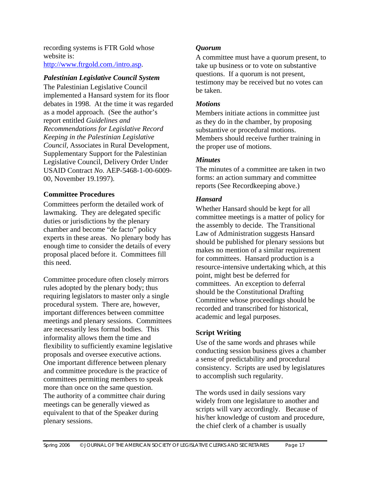recording systems is FTR Gold whose website is: <http://www.ftrgold.com./intro.asp>.

#### *Palestinian Legislative Council System*

The Palestinian Legislative Council implemented a Hansard system for its floor debates in 1998. At the time it was regarded as a model approach. (See the author's report entitled *Guidelines and Recommendations for Legislative Record Keeping in the Palestinian Legislative Council,* Associates in Rural Development, Supplementary Support for the Palestinian Legislative Council, Delivery Order Under USAID Contract *No*. AEP-5468-1-00-6009- 00, November 19.1997).

#### **Committee Procedures**

Committees perform the detailed work of lawmaking. They are delegated specific duties or jurisdictions by the plenary chamber and become "de facto" policy experts in these areas. No plenary body has enough time to consider the details of every proposal placed before it. Committees fill this need.

Committee procedure often closely mirrors rules adopted by the plenary body; thus requiring legislators to master only a single procedural system. There are, however, important differences between committee meetings and plenary sessions. Committees are necessarily less formal bodies. This informality allows them the time and flexibility to sufficiently examine legislative proposals and oversee executive actions. One important difference between plenary and committee procedure is the practice of committees permitting members to speak more than once on the same question. The authority of a committee chair during meetings can be generally viewed as equivalent to that of the Speaker during plenary sessions.

## *Quorum*

A committee must have a quorum present, to take up business or to vote on substantive questions. If a quorum is not present, testimony may be received but no votes can be taken.

#### *Motions*

Members initiate actions in committee just as they do in the chamber, by proposing substantive or procedural motions. Members should receive further training in the proper use of motions.

## *Minutes*

The minutes of a committee are taken in two forms: an action summary and committee reports (See Recordkeeping above.)

## *Hansard*

Whether Hansard should be kept for all committee meetings is a matter of policy for the assembly to decide. The Transitional Law of Administration suggests Hansard should be published for plenary sessions but makes no mention of a similar requirement for committees. Hansard production is a resource-intensive undertaking which, at this point, might best be deferred for committees. An exception to deferral should be the Constitutional Drafting Committee whose proceedings should be recorded and transcribed for historical, academic and legal purposes.

## **Script Writing**

Use of the same words and phrases while conducting session business gives a chamber a sense of predictability and procedural consistency. Scripts are used by legislatures to accomplish such regularity.

The words used in daily sessions vary widely from one legislature to another and scripts will vary accordingly. Because of his/her knowledge of custom and procedure, the chief clerk of a chamber is usually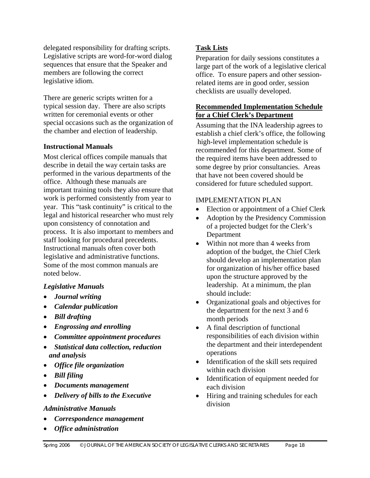delegated responsibility for drafting scripts. Legislative scripts are word-for-word dialog sequences that ensure that the Speaker and members are following the correct legislative idiom.

There are generic scripts written for a typical session day. There are also scripts written for ceremonial events or other special occasions such as the organization of the chamber and election of leadership.

#### **Instructional Manuals**

Most clerical offices compile manuals that describe in detail the way certain tasks are performed in the various departments of the office. Although these manuals are important training tools they also ensure that work is performed consistently from year to year. This "task continuity" is critical to the legal and historical researcher who must rely upon consistency of connotation and process. It is also important to members and staff looking for procedural precedents. Instructional manuals often cover both legislative and administrative functions. Some of the most common manuals are noted below.

## *Legislative Manuals*

- *Journal writing*
- *Calendar publication*
- *Bill drafting*
- *Engrossing and enrolling*
- *Committee appointment procedures*
- *Statistical data collection, reduction and analysis*
- *Office file organization*
- *Bill filing*
- *Documents management*
- *Delivery of bills to the Executive*

#### *Administrative Manuals*

- *Correspondence management*
- *Office administration*

## **Task Lists**

Preparation for daily sessions constitutes a large part of the work of a legislative clerical office. To ensure papers and other sessionrelated items are in good order, session checklists are usually developed.

## **Recommended Implementation Schedule for a Chief Clerk's Department**

Assuming that the INA leadership agrees to establish a chief clerk's office, the following high-level implementation schedule is recommended for this department. Some of the required items have been addressed to some degree by prior consultancies. Areas that have not been covered should be considered for future scheduled support.

#### IMPLEMENTATION PLAN

- Election or appointment of a Chief Clerk
- Adoption by the Presidency Commission of a projected budget for the Clerk's Department
- Within not more than 4 weeks from adoption of the budget, the Chief Clerk should develop an implementation plan for organization of his/her office based upon the structure approved by the leadership. At a minimum, the plan should include:
- Organizational goals and objectives for the department for the next 3 and 6 month periods
- A final description of functional responsibilities of each division within the department and their interdependent operations
- Identification of the skill sets required within each division
- Identification of equipment needed for each division
- Hiring and training schedules for each division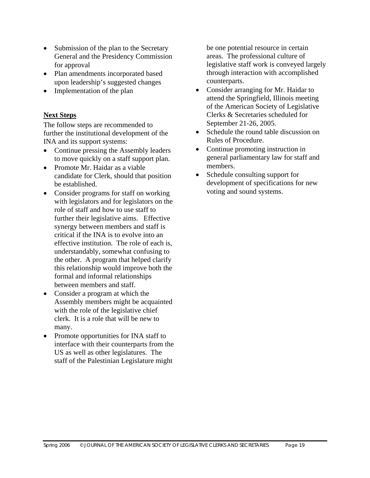- Submission of the plan to the Secretary General and the Presidency Commission for approval
- Plan amendments incorporated based upon leadership's suggested changes
- Implementation of the plan

## **Next Steps**

The follow steps are recommended to further the institutional development of the INA and its support systems:

- Continue pressing the Assembly leaders to move quickly on a staff support plan.
- Promote Mr. Haidar as a viable candidate for Clerk, should that position be established.
- Consider programs for staff on working with legislators and for legislators on the role of staff and how to use staff to further their legislative aims. Effective synergy between members and staff is critical if the INA is to evolve into an effective institution. The role of each is, understandably, somewhat confusing to the other. A program that helped clarify this relationship would improve both the formal and informal relationships between members and staff.
- Consider a program at which the Assembly members might be acquainted with the role of the legislative chief clerk. It is a role that will be new to many.
- Promote opportunities for INA staff to interface with their counterparts from the US as well as other legislatures. The staff of the Palestinian Legislature might

be one potential resource in certain areas. The professional culture of legislative staff work is conveyed largely through interaction with accomplished counterparts.

- Consider arranging for Mr. Haidar to attend the Springfield, Illinois meeting of the American Society of Legislative Clerks & Secretaries scheduled for September 21-26, 2005.
- Schedule the round table discussion on Rules of Procedure.
- Continue promoting instruction in general parliamentary law for staff and members.
- Schedule consulting support for development of specifications for new voting and sound systems.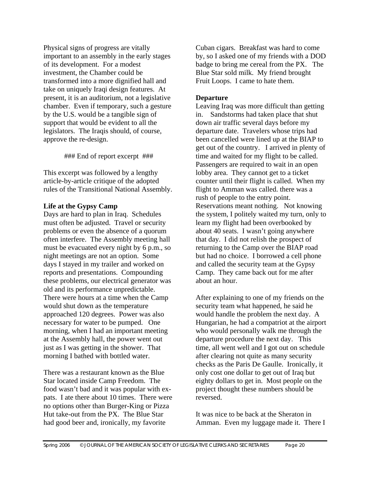Physical signs of progress are vitally important to an assembly in the early stages of its development. For a modest investment, the Chamber could be transformed into a more dignified hall and take on uniquely Iraqi design features. At present, it is an auditorium, not a legislative chamber. Even if temporary, such a gesture by the U.S. would be a tangible sign of support that would be evident to all the legislators. The Iraqis should, of course, approve the re-design.

#### ### End of report excerpt ###

This excerpt was followed by a lengthy article-by-article critique of the adopted rules of the Transitional National Assembly.

#### **Life at the Gypsy Camp**

Days are hard to plan in Iraq. Schedules must often be adjusted. Travel or security problems or even the absence of a quorum often interfere. The Assembly meeting hall must be evacuated every night by 6 p.m., so night meetings are not an option. Some days I stayed in my trailer and worked on reports and presentations. Compounding these problems, our electrical generator was old and its performance unpredictable. There were hours at a time when the Camp would shut down as the temperature approached 120 degrees. Power was also necessary for water to be pumped. One morning, when I had an important meeting at the Assembly hall, the power went out just as I was getting in the shower. That morning I bathed with bottled water.

There was a restaurant known as the Blue Star located inside Camp Freedom. The food wasn't bad and it was popular with expats. I ate there about 10 times. There were no options other than Burger-King or Pizza Hut take-out from the PX. The Blue Star had good beer and, ironically, my favorite

Cuban cigars. Breakfast was hard to come by, so I asked one of my friends with a DOD badge to bring me cereal from the PX. The Blue Star sold milk. My friend brought Fruit Loops. I came to hate them.

#### **Departure**

Leaving Iraq was more difficult than getting in. Sandstorms had taken place that shut down air traffic several days before my departure date. Travelers whose trips had been cancelled were lined up at the BIAP to get out of the country. I arrived in plenty of time and waited for my flight to be called. Passengers are required to wait in an open lobby area. They cannot get to a ticket counter until their flight is called. When my flight to Amman was called. there was a rush of people to the entry point. Reservations meant nothing. Not knowing the system, I politely waited my turn, only to learn my flight had been overbooked by about 40 seats. I wasn't going anywhere that day. I did not relish the prospect of returning to the Camp over the BIAP road but had no choice. I borrowed a cell phone and called the security team at the Gypsy Camp. They came back out for me after about an hour.

After explaining to one of my friends on the security team what happened, he said he would handle the problem the next day. A Hungarian, he had a compatriot at the airport who would personally walk me through the departure procedure the next day. This time, all went well and I got out on schedule after clearing not quite as many security checks as the Paris De Gaulle. Ironically, it only cost one dollar to get out of Iraq but eighty dollars to get in. Most people on the project thought these numbers should be reversed.

It was nice to be back at the Sheraton in Amman. Even my luggage made it. There I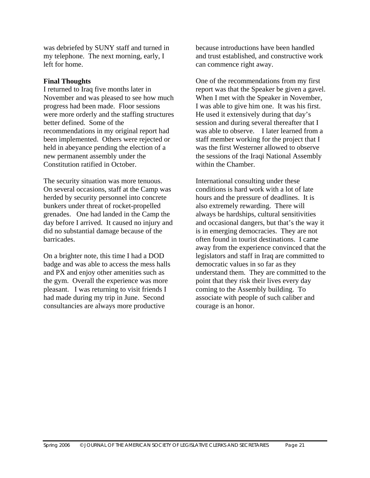was debriefed by SUNY staff and turned in my telephone. The next morning, early, I left for home.

#### **Final Thoughts**

I returned to Iraq five months later in November and was pleased to see how much progress had been made. Floor sessions were more orderly and the staffing structures better defined. Some of the recommendations in my original report had been implemented. Others were rejected or held in abeyance pending the election of a new permanent assembly under the Constitution ratified in October.

The security situation was more tenuous. On several occasions, staff at the Camp was herded by security personnel into concrete bunkers under threat of rocket-propelled grenades. One had landed in the Camp the day before I arrived. It caused no injury and did no substantial damage because of the barricades.

On a brighter note, this time I had a DOD badge and was able to access the mess halls and PX and enjoy other amenities such as the gym. Overall the experience was more pleasant. I was returning to visit friends I had made during my trip in June. Second consultancies are always more productive

because introductions have been handled and trust established, and constructive work can commence right away.

One of the recommendations from my first report was that the Speaker be given a gavel. When I met with the Speaker in November, I was able to give him one. It was his first. He used it extensively during that day's session and during several thereafter that I was able to observe. I later learned from a staff member working for the project that I was the first Westerner allowed to observe the sessions of the Iraqi National Assembly within the Chamber.

International consulting under these conditions is hard work with a lot of late hours and the pressure of deadlines. It is also extremely rewarding. There will always be hardships, cultural sensitivities and occasional dangers, but that's the way it is in emerging democracies. They are not often found in tourist destinations. I came away from the experience convinced that the legislators and staff in Iraq are committed to democratic values in so far as they understand them. They are committed to the point that they risk their lives every day coming to the Assembly building. To associate with people of such caliber and courage is an honor.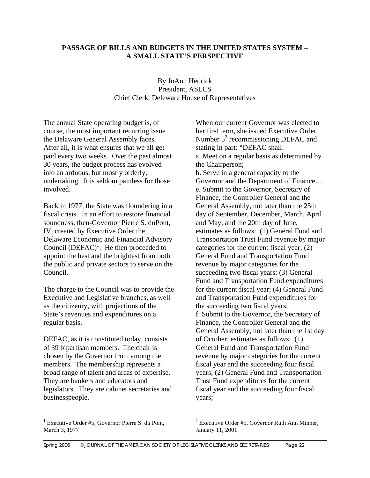#### **PASSAGE OF BILLS AND BUDGETS IN THE UNITED STATES SYSTEM – A SMALL STATE'S PERSPECTIVE**

#### By JoAnn Hedrick President, ASLCS Chief Clerk, Deleware House of Representatives

The annual State operating budget is, of course, the most important recurring issue the Delaware General Assembly faces. After all, it is what ensures that we all get paid every two weeks. Over the past almost 30 years, the budget process has evolved into an arduous, but mostly orderly, undertaking. It is seldom painless for those involved.

Back in 1977, the State was floundering in a fiscal crisis. In an effort to restore financial soundness, then-Governor Pierre S. duPont, IV, created by Executive Order the Delaware Economic and Financial Advisory Council  $(DEFAC)^{1}$  $(DEFAC)^{1}$  $(DEFAC)^{1}$ . He then proceeded to appoint the best and the brightest from both the public and private sectors to serve on the Council.

The charge to the Council was to provide the Executive and Legislative branches, as well as the citizenry, with projections of the State's revenues and expenditures on a regular basis.

DEFAC, as it is constituted today, consists of 39 bipartisan members. The chair is chosen by the Governor from among the members. The membership represents a broad range of talent and areas of expertise. They are bankers and educators and legislators. They are cabinet secretaries and businesspeople.

When our current Governor was elected to her first term, she issued Executive Order Number  $5^2$  $5^2$  recommissioning DEFAC and stating in part: "DEFAC shall: a. Meet on a regular basis as determined by the Chairperson;

b. Serve in a general capacity to the Governor and the Department of Finance… e. Submit to the Governor, Secretary of Finance, the Controller General and the General Assembly, not later than the 25th day of September, December, March, April and May, and the 20th day of June, estimates as follows: (1) General Fund and Transportation Trust Fund revenue by major categories for the current fiscal year; (2) General Fund and Transportation Fund revenue by major categories for the succeeding two fiscal years; (3) General Fund and Transportation Fund expenditures for the current fiscal year; (4) General Fund and Transportation Fund expenditures for the succeeding two fiscal years; f. Submit to the Governor, the Secretary of Finance, the Controller General and the General Assembly, not later than the 1st day of October, estimates as follows: (1) General Fund and Transportation Fund revenue by major categories for the current fiscal year and the succeeding four fiscal years; (2) General Fund and Transportation Trust Fund expenditures for the current fiscal year and the succeeding four fiscal years;

<span id="page-21-0"></span> $1$  Executive Order #5, Governor Pierre S, du Pont, March 3, 1977

<span id="page-21-1"></span> $2$  Executive Order #5, Governor Ruth Ann Minner, January 11, 2001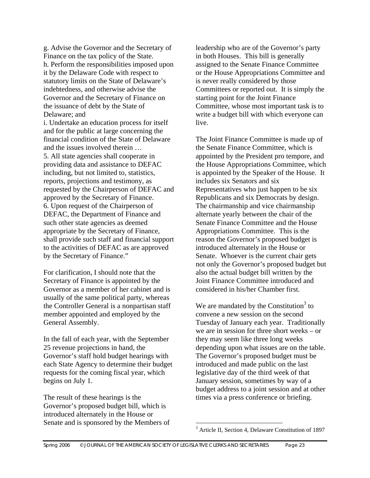g. Advise the Governor and the Secretary of Finance on the tax policy of the State. h. Perform the responsibilities imposed upon it by the Delaware Code with respect to statutory limits on the State of Delaware's indebtedness, and otherwise advise the Governor and the Secretary of Finance on the issuance of debt by the State of Delaware; and

i. Undertake an education process for itself and for the public at large concerning the financial condition of the State of Delaware and the issues involved therein … 5. All state agencies shall cooperate in providing data and assistance to DEFAC including, but not limited to, statistics, reports, projections and testimony, as requested by the Chairperson of DEFAC and approved by the Secretary of Finance. 6. Upon request of the Chairperson of DEFAC, the Department of Finance and such other state agencies as deemed appropriate by the Secretary of Finance, shall provide such staff and financial support to the activities of DEFAC as are approved by the Secretary of Finance."

For clarification, I should note that the Secretary of Finance is appointed by the Governor as a member of her cabinet and is usually of the same political party, whereas the Controller General is a nonpartisan staff member appointed and employed by the General Assembly.

In the fall of each year, with the September 25 revenue projections in hand, the Governor's staff hold budget hearings with each State Agency to determine their budget requests for the coming fiscal year, which begins on July 1.

The result of these hearings is the Governor's proposed budget bill, which is introduced alternately in the House or Senate and is sponsored by the Members of leadership who are of the Governor's party in both Houses. This bill is generally assigned to the Senate Finance Committee or the House Appropriations Committee and is never really considered by those Committees or reported out. It is simply the starting point for the Joint Finance Committee, whose most important task is to write a budget bill with which everyone can live.

The Joint Finance Committee is made up of the Senate Finance Committee, which is appointed by the President pro tempore, and the House Appropriations Committee, which is appointed by the Speaker of the House. It includes six Senators and six Representatives who just happen to be six Republicans and six Democrats by design. The chairmanship and vice chairmanship alternate yearly between the chair of the Senate Finance Committee and the House Appropriations Committee. This is the reason the Governor's proposed budget is introduced alternately in the House or Senate. Whoever is the current chair gets not only the Governor's proposed budget but also the actual budget bill written by the Joint Finance Committee introduced and considered in his/her Chamber first.

We are mandated by the Constitution<sup>[3](#page-22-0)</sup> to convene a new session on the second Tuesday of January each year. Traditionally we are in session for three short weeks – or they may seem like three long weeks depending upon what issues are on the table. The Governor's proposed budget must be introduced and made public on the last legislative day of the third week of that January session, sometimes by way of a budget address to a joint session and at other times via a press conference or briefing.

1

<span id="page-22-0"></span><sup>&</sup>lt;sup>3</sup> Article II, Section 4, Delaware Constitution of 1897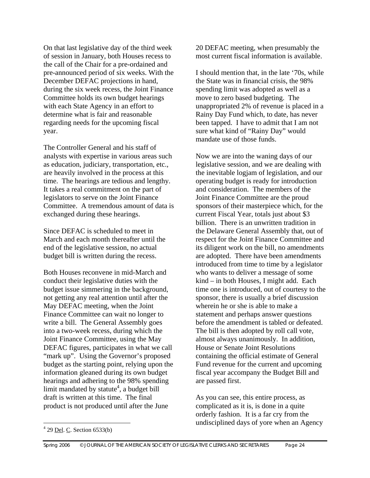On that last legislative day of the third week of session in January, both Houses recess to the call of the Chair for a pre-ordained and pre-announced period of six weeks. With the December DEFAC projections in hand, during the six week recess, the Joint Finance Committee holds its own budget hearings with each State Agency in an effort to determine what is fair and reasonable regarding needs for the upcoming fiscal year.

The Controller General and his staff of analysts with expertise in various areas such as education, judiciary, transportation, etc., are heavily involved in the process at this time. The hearings are tedious and lengthy. It takes a real commitment on the part of legislators to serve on the Joint Finance Committee. A tremendous amount of data is exchanged during these hearings.

Since DEFAC is scheduled to meet in March and each month thereafter until the end of the legislative session, no actual budget bill is written during the recess.

Both Houses reconvene in mid-March and conduct their legislative duties with the budget issue simmering in the background, not getting any real attention until after the May DEFAC meeting, when the Joint Finance Committee can wait no longer to write a bill. The General Assembly goes into a two-week recess, during which the Joint Finance Committee, using the May DEFAC figures, participates in what we call "mark up". Using the Governor's proposed budget as the starting point, relying upon the information gleaned during its own budget hearings and adhering to the 98% spending limit mandated by statute<sup>[4](#page-23-0)</sup>, a budget bill draft is written at this time. The final product is not produced until after the June

20 DEFAC meeting, when presumably the most current fiscal information is available.

I should mention that, in the late '70s, while the State was in financial crisis, the 98% spending limit was adopted as well as a move to zero based budgeting. The unappropriated 2% of revenue is placed in a Rainy Day Fund which, to date, has never been tapped. I have to admit that I am not sure what kind of "Rainy Day" would mandate use of those funds.

Now we are into the waning days of our legislative session, and we are dealing with the inevitable logjam of legislation, and our operating budget is ready for introduction and consideration. The members of the Joint Finance Committee are the proud sponsors of their masterpiece which, for the current Fiscal Year, totals just about \$3 billion. There is an unwritten tradition in the Delaware General Assembly that, out of respect for the Joint Finance Committee and its diligent work on the bill, no amendments are adopted. There have been amendments introduced from time to time by a legislator who wants to deliver a message of some kind – in both Houses, I might add. Each time one is introduced, out of courtesy to the sponsor, there is usually a brief discussion wherein he or she is able to make a statement and perhaps answer questions before the amendment is tabled or defeated. The bill is then adopted by roll call vote, almost always unanimously. In addition, House or Senate Joint Resolutions containing the official estimate of General Fund revenue for the current and upcoming fiscal year accompany the Budget Bill and are passed first.

As you can see, this entire process, as complicated as it is, is done in a quite orderly fashion. It is a far cry from the undisciplined days of yore when an Agency

1

<span id="page-23-0"></span> $4^{4}$  29 <u>Del</u>. C. Section 6533(b)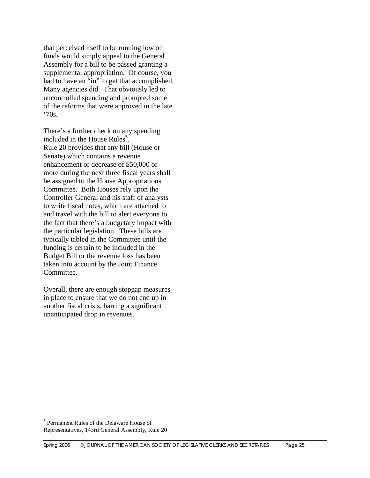that perceived itself to be running low on funds would simply appeal to the General Assembly for a bill to be passed granting a supplemental appropriation. Of course, you had to have an "in" to get that accomplished. Many agencies did. That obviously led to uncontrolled spending and prompted some of the reforms that were approved in the late '70s.

There's a further check on any spending included in the House Rules $<sup>5</sup>$ .</sup> Rule 20 provides that any bill (House or Senate) which contains a revenue enhancement or decrease of \$50,000 or more during the next three fiscal years shall be assigned to the House Appropriations Committee. Both Houses rely upon the Controller General and his staff of analysts to write fiscal notes, which are attached to and travel with the bill to alert everyone to the fact that there's a budgetary impact with the particular legislation. These bills are typically tabled in the Committee until the funding is certain to be included in the Budget Bill or the revenue loss has been taken into account by the Joint Finance Committee.

Overall, there are enough stopgap measures in place to ensure that we do not end up in another fiscal crisis, barring a significant unanticipated drop in revenues.

<u>.</u>

<span id="page-24-0"></span><sup>5</sup> Permanent Rules of the Delaware House of Representatives, 143rd General Assembly, Rule 20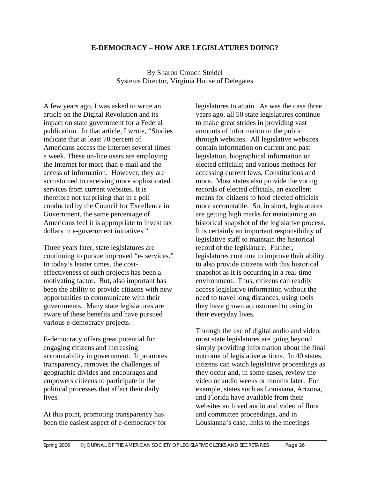#### **E-DEMOCRACY – HOW ARE LEGISLATURES DOING?**

By Sharon Crouch Steidel Systems Director, Virginia House of Delegates

A few years ago, I was asked to write an article on the Digital Revolution and its impact on state government for a Federal publication. In that article, I wrote, "Studies indicate that at least 70 percent of Americans access the Internet several times a week. These on-line users are employing the Internet for more than e-mail and the access of information. However, they are accustomed to receiving more sophisticated services from current websites. It is therefore not surprising that in a poll conducted by the Council for Excellence in Government, the same percentage of Americans feel it is appropriate to invest tax dollars in e-government initiatives."

Three years later, state legislatures are continuing to pursue improved "e- services." In today's leaner times, the costeffectiveness of such projects has been a motivating factor. But, also important has been the ability to provide citizens with new opportunities to communicate with their governments. Many state legislatures are aware of these benefits and have pursued various e-democracy projects.

E-democracy offers great potential for engaging citizens and increasing accountability in government. It promotes transparency, removes the challenges of geographic divides and encourages and empowers citizens to participate in the political processes that affect their daily lives.

At this point, promoting transparency has been the easiest aspect of e-democracy for

legislatures to attain. As was the case three years ago, all 50 state legislatures continue to make great strides in providing vast amounts of information to the public through websites. All legislative websites contain information on current and past legislation, biographical information on elected officials; and various methods for accessing current laws, Constitutions and more. Most states also provide the voting records of elected officials, an excellent means for citizens to hold elected officials more accountable. So, in short, legislatures are getting high marks for maintaining an historical snapshot of the legislative process. It is certainly an important responsibility of legislative staff to maintain the historical record of the legislature. Further, legislatures continue to improve their ability to also provide citizens with this historical snapshot as it is occurring in a real-time environment. Thus, citizens can readily access legislative information without the need to travel long distances, using tools they have grown accustomed to using in their everyday lives.

Through the use of digital audio and video, most state legislatures are going beyond simply providing information about the final outcome of legislative actions. In 40 states, citizens can watch legislative proceedings as they occur and, in some cases, review the video or audio weeks or months later. For example, states such as Louisiana, Arizona, and Florida have available from their websites archived audio and video of floor and committee proceedings, and in Lousianna's case, links to the meetings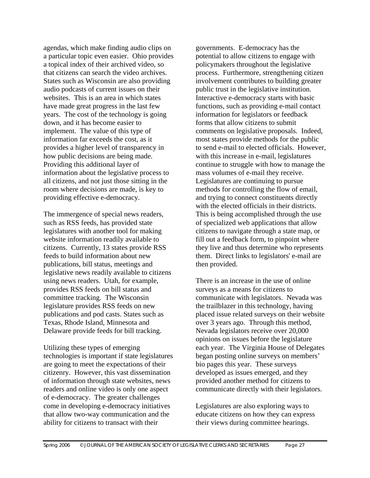agendas, which make finding audio clips on a particular topic even easier. Ohio provides a topical index of their archived video, so that citizens can search the video archives. States such as Wisconsin are also providing audio podcasts of current issues on their websites. This is an area in which states have made great progress in the last few years. The cost of the technology is going down, and it has become easier to implement. The value of this type of information far exceeds the cost, as it provides a higher level of transparency in how public decisions are being made. Providing this additional layer of information about the legislative process to all citizens, and not just those sitting in the room where decisions are made, is key to providing effective e-democracy.

The immergence of special news readers, such as RSS feeds, has provided state legislatures with another tool for making website information readily available to citizens. Currently, 13 states provide RSS feeds to build information about new publications, bill status, meetings and legislative news readily available to citizens using news readers. Utah, for example, provides RSS feeds on bill status and committee tracking. The Wisconsin legislature provides RSS feeds on new publications and pod casts. States such as Texas, Rhode Island, Minnesota and Delaware provide feeds for bill tracking.

Utilizing these types of emerging technologies is important if state legislatures are going to meet the expectations of their citizenry. However, this vast dissemination of information through state websites, news readers and online video is only one aspect of e-democracy. The greater challenges come in developing e-democracy initiatives that allow two-way communication and the ability for citizens to transact with their

governments. E-democracy has the potential to allow citizens to engage with policymakers throughout the legislative process. Furthermore, strengthening citizen involvement contributes to building greater public trust in the legislative institution. Interactive e-democracy starts with basic functions, such as providing e-mail contact information for legislators or feedback forms that allow citizens to submit comments on legislative proposals. Indeed, most states provide methods for the public to send e-mail to elected officials. However, with this increase in e-mail, legislatures continue to struggle with how to manage the mass volumes of e-mail they receive. Legislatures are continuing to pursue methods for controlling the flow of email, and trying to connect constituents directly with the elected officials in their districts. This is being accomplished through the use of specialized web applications that allow citizens to navigate through a state map, or fill out a feedback form, to pinpoint where they live and thus determine who represents them. Direct links to legislators' e-mail are then provided.

There is an increase in the use of online surveys as a means for citizens to communicate with legislators. Nevada was the trailblazer in this technology, having placed issue related surveys on their website over 3 years ago. Through this method, Nevada legislators receive over 20,000 opinions on issues before the legislature each year. The Virginia House of Delegates began posting online surveys on members' bio pages this year. These surveys developed as issues emerged, and they provided another method for citizens to communicate directly with their legislators.

Legislatures are also exploring ways to educate citizens on how they can express their views during committee hearings.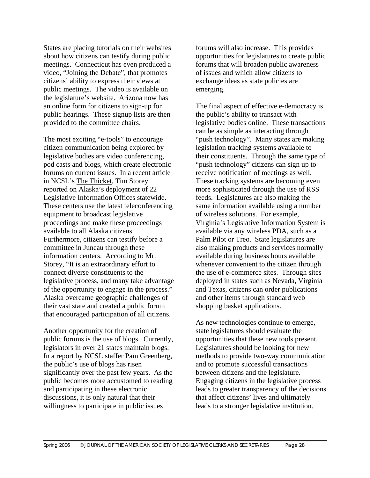States are placing tutorials on their websites about how citizens can testify during public meetings. Connecticut has even produced a video, "Joining the Debate", that promotes citizens' ability to express their views at public meetings. The video is available on the legislature's website. Arizona now has an online form for citizens to sign-up for public hearings. These signup lists are then provided to the committee chairs.

The most exciting "e-tools" to encourage citizen communication being explored by legislative bodies are video conferencing, pod casts and blogs, which create electronic forums on current issues. In a recent article in NCSL's The Thicket, Tim Storey reported on Alaska's deployment of 22 Legislative Information Offices statewide. These centers use the latest teleconferencing equipment to broadcast legislative proceedings and make these proceedings available to all Alaska citizens. Furthermore, citizens can testify before a committee in Juneau through these information centers. According to Mr. Storey, "It is an extraordinary effort to connect diverse constituents to the legislative process, and many take advantage of the opportunity to engage in the process." Alaska overcame geographic challenges of their vast state and created a public forum that encouraged participation of all citizens.

Another opportunity for the creation of public forums is the use of blogs. Currently, legislators in over 21 states maintain blogs. In a report by NCSL staffer Pam Greenberg, the public's use of blogs has risen significantly over the past few years. As the public becomes more accustomed to reading and participating in these electronic discussions, it is only natural that their willingness to participate in public issues

forums will also increase. This provides opportunities for legislatures to create public forums that will broaden public awareness of issues and which allow citizens to exchange ideas as state policies are emerging.

The final aspect of effective e-democracy is the public's ability to transact with legislative bodies online. These transactions can be as simple as interacting through "push technology". Many states are making legislation tracking systems available to their constituents. Through the same type of "push technology" citizens can sign up to receive notification of meetings as well. These tracking systems are becoming even more sophisticated through the use of RSS feeds. Legislatures are also making the same information available using a number of wireless solutions. For example, Virginia's Legislative Information System is available via any wireless PDA, such as a Palm Pilot or Treo. State legislatures are also making products and services normally available during business hours available whenever convenient to the citizen through the use of e-commerce sites. Through sites deployed in states such as Nevada, Virginia and Texas, citizens can order publications and other items through standard web shopping basket applications.

As new technologies continue to emerge, state legislatures should evaluate the opportunities that these new tools present. Legislatures should be looking for new methods to provide two-way communication and to promote successful transactions between citizens and the legislature. Engaging citizens in the legislative process leads to greater transparency of the decisions that affect citizens' lives and ultimately leads to a stronger legislative institution.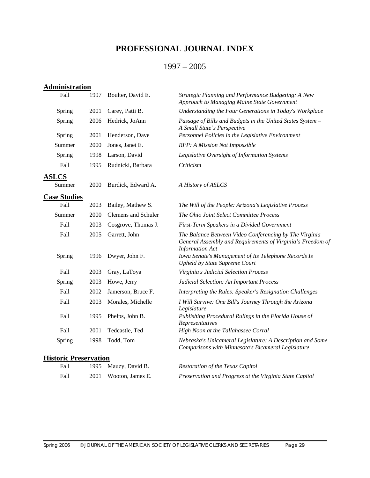## **PROFESSIONAL JOURNAL INDEX**

## 1997 – 2005

| <b>Administration</b>        |      |                            |                                                                                                                                                |
|------------------------------|------|----------------------------|------------------------------------------------------------------------------------------------------------------------------------------------|
| Fall                         | 1997 | Boulter, David E.          | Strategic Planning and Performance Budgeting: A New<br>Approach to Managing Maine State Government                                             |
| Spring                       | 2001 | Carey, Patti B.            | Understanding the Four Generations in Today's Workplace                                                                                        |
| Spring                       | 2006 | Hedrick, JoAnn             | Passage of Bills and Budgets in the United States System -<br>A Small State's Perspective                                                      |
| Spring                       | 2001 | Henderson, Dave            | Personnel Policies in the Legislative Environment                                                                                              |
| Summer                       | 2000 | Jones, Janet E.            | RFP: A Mission Not Impossible                                                                                                                  |
| Spring                       | 1998 | Larson, David              | Legislative Oversight of Information Systems                                                                                                   |
| Fall                         | 1995 | Rudnicki, Barbara          | Criticism                                                                                                                                      |
| <b>ASLCS</b>                 |      |                            |                                                                                                                                                |
| Summer                       | 2000 | Burdick, Edward A.         | A History of ASLCS                                                                                                                             |
| <b>Case Studies</b>          |      |                            |                                                                                                                                                |
| Fall                         | 2003 | Bailey, Mathew S.          | The Will of the People: Arizona's Legislative Process                                                                                          |
| Summer                       | 2000 | <b>Clemens</b> and Schuler | The Ohio Joint Select Committee Process                                                                                                        |
| Fall                         | 2003 | Cosgrove, Thomas J.        | First-Term Speakers in a Divided Government                                                                                                    |
| Fall                         | 2005 | Garrett, John              | The Balance Between Video Conferencing by The Virginia<br>General Assembly and Requirements of Virginia's Freedom of<br><b>Information Act</b> |
| Spring                       | 1996 | Dwyer, John F.             | Iowa Senate's Management of Its Telephone Records Is<br><b>Upheld by State Supreme Court</b>                                                   |
| Fall                         | 2003 | Gray, LaToya               | Virginia's Judicial Selection Process                                                                                                          |
| Spring                       | 2003 | Howe, Jerry                | Judicial Selection: An Important Process                                                                                                       |
| Fall                         | 2002 | Jamerson, Bruce F.         | Interpreting the Rules: Speaker's Resignation Challenges                                                                                       |
| Fall                         | 2003 | Morales, Michelle          | I Will Survive: One Bill's Journey Through the Arizona<br>Legislature                                                                          |
| Fall                         | 1995 | Phelps, John B.            | Publishing Procedural Rulings in the Florida House of<br>Representatives                                                                       |
| Fall                         | 2001 | Tedcastle, Ted             | High Noon at the Tallahassee Corral                                                                                                            |
| Spring                       | 1998 | Todd, Tom                  | Nebraska's Unicameral Legislature: A Description and Some<br>Comparisons with Minnesota's Bicameral Legislature                                |
| <b>Historic Preservation</b> |      |                            |                                                                                                                                                |

| Fall | 1995 Mauzy, David B.  | Restoration of the Texas Capitol                        |
|------|-----------------------|---------------------------------------------------------|
| Fall | 2001 Wooton, James E. | Preservation and Progress at the Virginia State Capitol |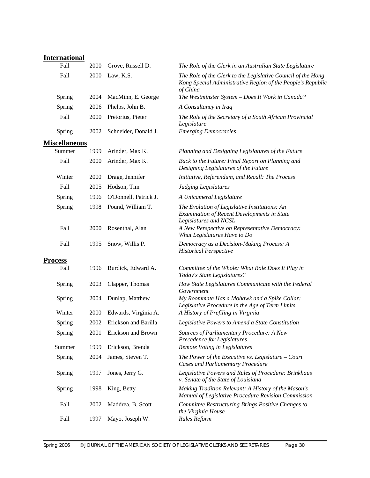## **International**

| $\cdots$<br>Fall     | 2000 | Grove, Russell D.     | The Role of the Clerk in an Australian State Legislature                                                                                |
|----------------------|------|-----------------------|-----------------------------------------------------------------------------------------------------------------------------------------|
| Fall                 | 2000 | Law, K.S.             | The Role of the Clerk to the Legislative Council of the Hong<br>Kong Special Administrative Region of the People's Republic<br>of China |
| Spring               | 2004 | MacMinn, E. George    | The Westminster System - Does It Work in Canada?                                                                                        |
| Spring               | 2006 | Phelps, John B.       | A Consultancy in Iraq                                                                                                                   |
| Fall                 | 2000 | Pretorius, Pieter     | The Role of the Secretary of a South African Provincial<br>Legislature                                                                  |
| Spring               | 2002 | Schneider, Donald J.  | <b>Emerging Democracies</b>                                                                                                             |
| <b>Miscellaneous</b> |      |                       |                                                                                                                                         |
| Summer               | 1999 | Arinder, Max K.       | Planning and Designing Legislatures of the Future                                                                                       |
| Fall                 | 2000 | Arinder, Max K.       | Back to the Future: Final Report on Planning and<br>Designing Legislatures of the Future                                                |
| Winter               | 2000 | Drage, Jennifer       | Initiative, Referendum, and Recall: The Process                                                                                         |
| Fall                 | 2005 | Hodson, Tim           | <b>Judging Legislatures</b>                                                                                                             |
| Spring               | 1996 | O'Donnell, Patrick J. | A Unicameral Legislature                                                                                                                |
| Spring               | 1998 | Pound, William T.     | The Evolution of Legislative Institutions: An<br>Examination of Recent Developments in State<br>Legislatures and NCSL                   |
| Fall                 | 2000 | Rosenthal, Alan       | A New Perspective on Representative Democracy:<br>What Legislatures Have to Do                                                          |
| Fall                 | 1995 | Snow, Willis P.       | Democracy as a Decision-Making Process: A<br><b>Historical Perspective</b>                                                              |
| <b>Process</b>       |      |                       |                                                                                                                                         |
| Fall                 | 1996 | Burdick, Edward A.    | Committee of the Whole: What Role Does It Play in<br>Today's State Legislatures?                                                        |
| Spring               | 2003 | Clapper, Thomas       | How State Legislatures Communicate with the Federal<br>Government                                                                       |
| Spring               | 2004 | Dunlap, Matthew       | My Roommate Has a Mohawk and a Spike Collar:<br>Legislative Procedure in the Age of Term Limits                                         |
| Winter               | 2000 | Edwards, Virginia A.  | A History of Prefiling in Virginia                                                                                                      |
| Spring               | 2002 | Erickson and Barilla  | Legislative Powers to Amend a State Constitution                                                                                        |
| Spring               | 2001 | Erickson and Brown    | Sources of Parliamentary Procedure: A New<br>Precedence for Legislatures                                                                |
| Summer               | 1999 | Erickson, Brenda      | Remote Voting in Legislatures                                                                                                           |
| Spring               | 2004 | James, Steven T.      | The Power of the Executive vs. Legislature $-$ Court<br><b>Cases and Parliamentary Procedure</b>                                        |
| Spring               | 1997 | Jones, Jerry G.       | Legislative Powers and Rules of Procedure: Brinkhaus<br>v. Senate of the State of Louisiana                                             |
| Spring               | 1998 | King, Betty           | Making Tradition Relevant: A History of the Mason's<br>Manual of Legislative Procedure Revision Commission                              |
| Fall                 | 2002 | Maddrea, B. Scott     | Committee Restructuring Brings Positive Changes to<br>the Virginia House                                                                |
| Fall                 | 1997 | Mayo, Joseph W.       | <b>Rules Reform</b>                                                                                                                     |